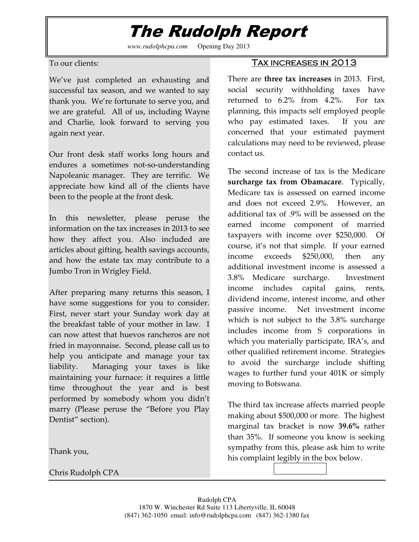## The Rudolph Report

*www.rudolphcpa.com* Opening Day 2013

To our clients:

We've just completed an exhausting and successful tax season, and we wanted to say thank you. We're fortunate to serve you, and we are grateful. All of us, including Wayne and Charlie, look forward to serving you again next year.

Our front desk staff works long hours and endures a sometimes not-so-understanding Napoleanic manager. They are terrific. We appreciate how kind all of the clients have been to the people at the front desk.

In this newsletter, please peruse the information on the tax increases in 2013 to see how they affect you. Also included are articles about gifting, health savings accounts, and how the estate tax may contribute to a Jumbo Tron in Wrigley Field.

After preparing many returns this season, I have some suggestions for you to consider. First, never start your Sunday work day at the breakfast table of your mother in law. I can now attest that huevos rancheros are not fried in mayonnaise. Second, please call us to help you anticipate and manage your tax liability. Managing your taxes is like maintaining your furnace: it requires a little time throughout the year and is best performed by somebody whom you didn't marry (Please peruse the "Before you Play Dentist" section).

Thank you,

Chris Rudolph CPA

## TAX INCREASES IN 2013

There are three tax increases in 2013. First, social security withholding taxes have returned to 6.2% from 4.2%. For tax planning, this impacts self employed people who pay estimated taxes. If you are concerned that your estimated payment calculations may need to be reviewed, please contact us.

The second increase of tax is the Medicare surcharge tax from Obamacare. Typically, Medicare tax is assessed on earned income and does not exceed 2.9%. However, an additional tax of .9% will be assessed on the earned income component of married taxpayers with income over \$250,000. Of course, it's not that simple. If your earned income exceeds \$250,000, then any additional investment income is assessed a 3.8% Medicare surcharge. Investment income includes capital gains, rents, dividend income, interest income, and other passive income. Net investment income which is not subject to the 3.8% surcharge includes income from S corporations in which you materially participate, IRA's, and other qualified retirement income. Strategies to avoid the surcharge include shifting wages to further fund your 401K or simply moving to Botswana.

The third tax increase affects married people making about \$500,000 or more. The highest marginal tax bracket is now 39.6% rather than 35%. If someone you know is seeking sympathy from this, please ask him to write his complaint legibly in the box below.